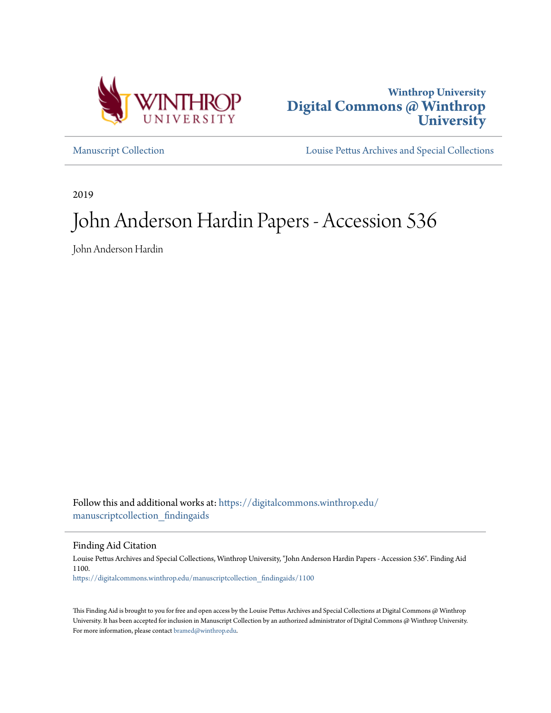



[Manuscript Collection](https://digitalcommons.winthrop.edu/manuscriptcollection_findingaids?utm_source=digitalcommons.winthrop.edu%2Fmanuscriptcollection_findingaids%2F1100&utm_medium=PDF&utm_campaign=PDFCoverPages) [Louise Pettus Archives and Special Collections](https://digitalcommons.winthrop.edu/pettus_archives?utm_source=digitalcommons.winthrop.edu%2Fmanuscriptcollection_findingaids%2F1100&utm_medium=PDF&utm_campaign=PDFCoverPages)

2019

# John Anderson Hardin Papers - Accession 536

John Anderson Hardin

Follow this and additional works at: [https://digitalcommons.winthrop.edu/](https://digitalcommons.winthrop.edu/manuscriptcollection_findingaids?utm_source=digitalcommons.winthrop.edu%2Fmanuscriptcollection_findingaids%2F1100&utm_medium=PDF&utm_campaign=PDFCoverPages) [manuscriptcollection\\_findingaids](https://digitalcommons.winthrop.edu/manuscriptcollection_findingaids?utm_source=digitalcommons.winthrop.edu%2Fmanuscriptcollection_findingaids%2F1100&utm_medium=PDF&utm_campaign=PDFCoverPages)

Finding Aid Citation

Louise Pettus Archives and Special Collections, Winthrop University, "John Anderson Hardin Papers - Accession 536". Finding Aid 1100. [https://digitalcommons.winthrop.edu/manuscriptcollection\\_findingaids/1100](https://digitalcommons.winthrop.edu/manuscriptcollection_findingaids/1100?utm_source=digitalcommons.winthrop.edu%2Fmanuscriptcollection_findingaids%2F1100&utm_medium=PDF&utm_campaign=PDFCoverPages)

This Finding Aid is brought to you for free and open access by the Louise Pettus Archives and Special Collections at Digital Commons @ Winthrop University. It has been accepted for inclusion in Manuscript Collection by an authorized administrator of Digital Commons @ Winthrop University. For more information, please contact [bramed@winthrop.edu.](mailto:bramed@winthrop.edu)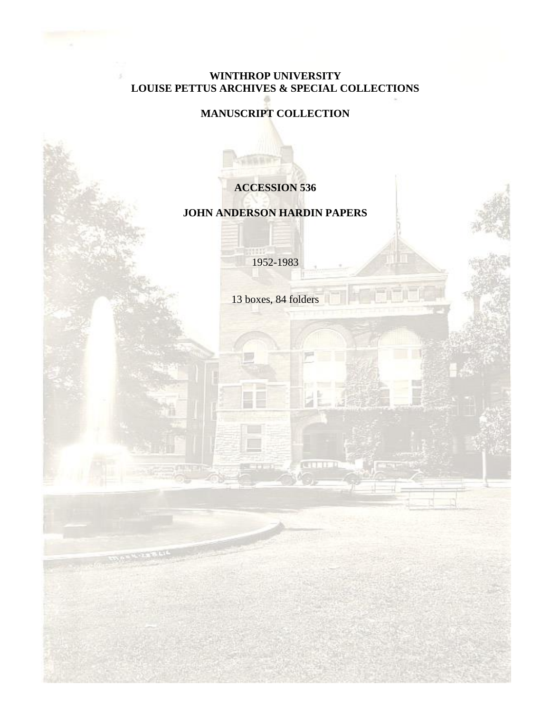#### **WINTHROP UNIVERSITY LOUISE PETTUS ARCHIVES & SPECIAL COLLECTIONS**

# **MANUSCRIPT COLLECTION**

# **ACCESSION 536**

### **JOHN ANDERSON HARDIN PAPERS**

1952-1983

13 boxes, 84 folders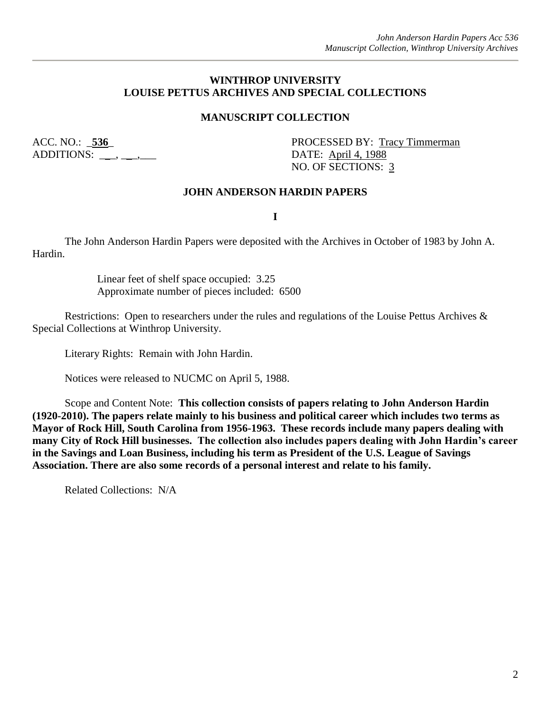#### **WINTHROP UNIVERSITY LOUISE PETTUS ARCHIVES AND SPECIAL COLLECTIONS**

#### **MANUSCRIPT COLLECTION**

ADDITIONS: \_\_\_, \_\_\_, \_\_\_\_ DATE: <u>April 4, 1988</u>

ACC. NO.: 536\_ PROCESSED BY: Tracy Timmerman NO. OF SECTIONS: 3

#### **JOHN ANDERSON HARDIN PAPERS**

**I**

The John Anderson Hardin Papers were deposited with the Archives in October of 1983 by John A. Hardin.

> Linear feet of shelf space occupied: 3.25 Approximate number of pieces included: 6500

Restrictions: Open to researchers under the rules and regulations of the Louise Pettus Archives & Special Collections at Winthrop University.

Literary Rights: Remain with John Hardin.

Notices were released to NUCMC on April 5, 1988.

Scope and Content Note: **This collection consists of papers relating to John Anderson Hardin (1920-2010). The papers relate mainly to his business and political career which includes two terms as Mayor of Rock Hill, South Carolina from 1956-1963. These records include many papers dealing with many City of Rock Hill businesses. The collection also includes papers dealing with John Hardin's career in the Savings and Loan Business, including his term as President of the U.S. League of Savings Association. There are also some records of a personal interest and relate to his family.**

Related Collections: N/A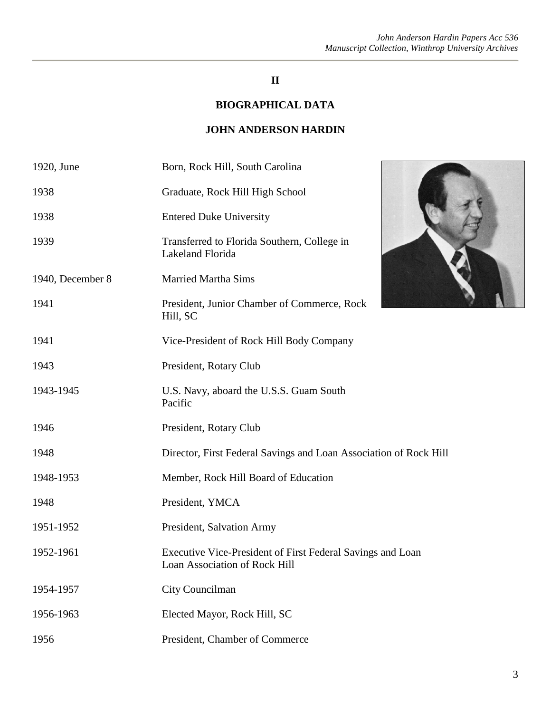# **II**

# **BIOGRAPHICAL DATA**

#### **JOHN ANDERSON HARDIN**

| 1920, June       | Born, Rock Hill, South Carolina                                                             |
|------------------|---------------------------------------------------------------------------------------------|
| 1938             | Graduate, Rock Hill High School                                                             |
| 1938             | <b>Entered Duke University</b>                                                              |
| 1939             | Transferred to Florida Southern, College in<br>Lakeland Florida                             |
| 1940, December 8 | <b>Married Martha Sims</b>                                                                  |
| 1941             | President, Junior Chamber of Commerce, Rock<br>Hill, SC                                     |
| 1941             | Vice-President of Rock Hill Body Company                                                    |
| 1943             | President, Rotary Club                                                                      |
| 1943-1945        | U.S. Navy, aboard the U.S.S. Guam South<br>Pacific                                          |
| 1946             | President, Rotary Club                                                                      |
| 1948             | Director, First Federal Savings and Loan Association of Rock Hill                           |
| 1948-1953        | Member, Rock Hill Board of Education                                                        |
| 1948             | President, YMCA                                                                             |
| 1951-1952        | President, Salvation Army                                                                   |
| 1952-1961        | Executive Vice-President of First Federal Savings and Loan<br>Loan Association of Rock Hill |
| 1954-1957        | City Councilman                                                                             |
| 1956-1963        | Elected Mayor, Rock Hill, SC                                                                |
| 1956             | President, Chamber of Commerce                                                              |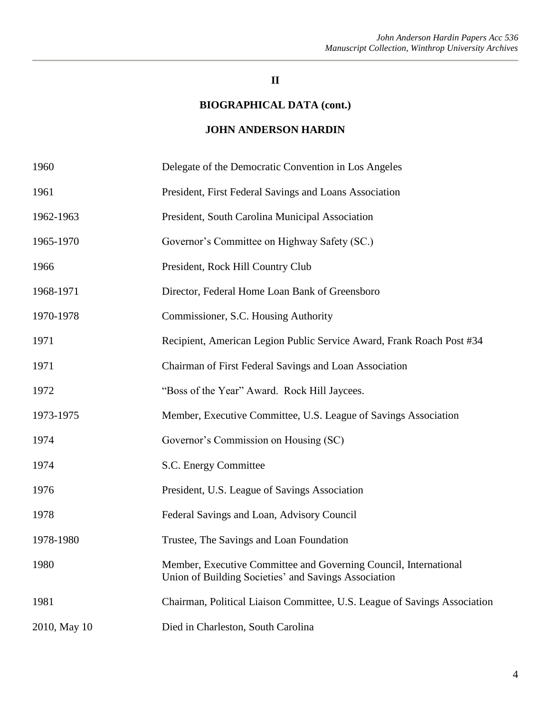#### **II**

#### **BIOGRAPHICAL DATA (cont.)**

#### **JOHN ANDERSON HARDIN**

| 1960         | Delegate of the Democratic Convention in Los Angeles                                                                     |
|--------------|--------------------------------------------------------------------------------------------------------------------------|
| 1961         | President, First Federal Savings and Loans Association                                                                   |
| 1962-1963    | President, South Carolina Municipal Association                                                                          |
| 1965-1970    | Governor's Committee on Highway Safety (SC.)                                                                             |
| 1966         | President, Rock Hill Country Club                                                                                        |
| 1968-1971    | Director, Federal Home Loan Bank of Greensboro                                                                           |
| 1970-1978    | Commissioner, S.C. Housing Authority                                                                                     |
| 1971         | Recipient, American Legion Public Service Award, Frank Roach Post #34                                                    |
| 1971         | Chairman of First Federal Savings and Loan Association                                                                   |
| 1972         | "Boss of the Year" Award. Rock Hill Jaycees.                                                                             |
| 1973-1975    | Member, Executive Committee, U.S. League of Savings Association                                                          |
| 1974         | Governor's Commission on Housing (SC)                                                                                    |
| 1974         | S.C. Energy Committee                                                                                                    |
| 1976         | President, U.S. League of Savings Association                                                                            |
| 1978         | Federal Savings and Loan, Advisory Council                                                                               |
| 1978-1980    | Trustee, The Savings and Loan Foundation                                                                                 |
| 1980         | Member, Executive Committee and Governing Council, International<br>Union of Building Societies' and Savings Association |
| 1981         | Chairman, Political Liaison Committee, U.S. League of Savings Association                                                |
| 2010, May 10 | Died in Charleston, South Carolina                                                                                       |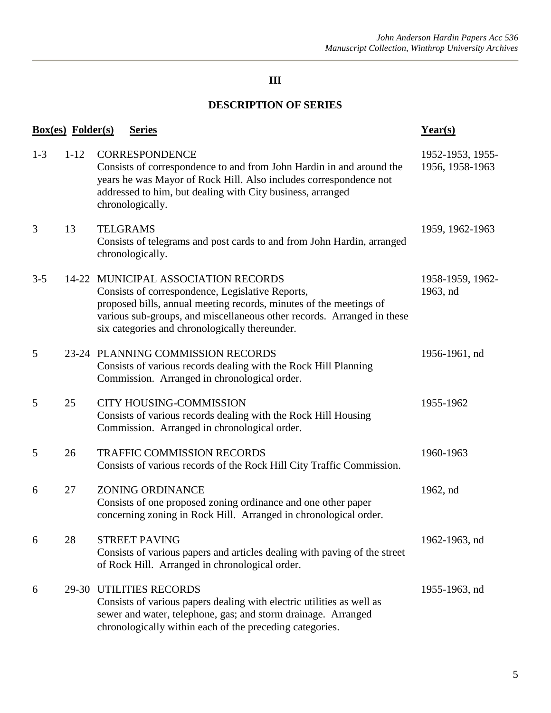# **DESCRIPTION OF SERIES**

|         | <b>Box(es)</b> Folder(s) | <b>Series</b>                                                                                                                                                                                                                                                                             | $Year(s)$                           |
|---------|--------------------------|-------------------------------------------------------------------------------------------------------------------------------------------------------------------------------------------------------------------------------------------------------------------------------------------|-------------------------------------|
| $1 - 3$ | $1 - 12$                 | <b>CORRESPONDENCE</b><br>Consists of correspondence to and from John Hardin in and around the<br>years he was Mayor of Rock Hill. Also includes correspondence not<br>addressed to him, but dealing with City business, arranged<br>chronologically.                                      | 1952-1953, 1955-<br>1956, 1958-1963 |
| 3       | 13                       | <b>TELGRAMS</b><br>Consists of telegrams and post cards to and from John Hardin, arranged<br>chronologically.                                                                                                                                                                             | 1959, 1962-1963                     |
| $3 - 5$ |                          | 14-22 MUNICIPAL ASSOCIATION RECORDS<br>Consists of correspondence, Legislative Reports,<br>proposed bills, annual meeting records, minutes of the meetings of<br>various sub-groups, and miscellaneous other records. Arranged in these<br>six categories and chronologically thereunder. | 1958-1959, 1962-<br>1963, nd        |
| 5       |                          | 23-24 PLANNING COMMISSION RECORDS<br>Consists of various records dealing with the Rock Hill Planning<br>Commission. Arranged in chronological order.                                                                                                                                      | 1956-1961, nd                       |
| 5       | 25                       | <b>CITY HOUSING-COMMISSION</b><br>Consists of various records dealing with the Rock Hill Housing<br>Commission. Arranged in chronological order.                                                                                                                                          | 1955-1962                           |
| 5       | 26                       | <b>TRAFFIC COMMISSION RECORDS</b><br>Consists of various records of the Rock Hill City Traffic Commission.                                                                                                                                                                                | 1960-1963                           |
| 6       | 27                       | <b>ZONING ORDINANCE</b><br>Consists of one proposed zoning ordinance and one other paper<br>concerning zoning in Rock Hill. Arranged in chronological order.                                                                                                                              | 1962, nd                            |
| 6       | 28                       | <b>STREET PAVING</b><br>Consists of various papers and articles dealing with paving of the street<br>of Rock Hill. Arranged in chronological order.                                                                                                                                       | 1962-1963, nd                       |
| 6       |                          | 29-30 UTILITIES RECORDS<br>Consists of various papers dealing with electric utilities as well as<br>sewer and water, telephone, gas; and storm drainage. Arranged<br>chronologically within each of the preceding categories.                                                             | 1955-1963, nd                       |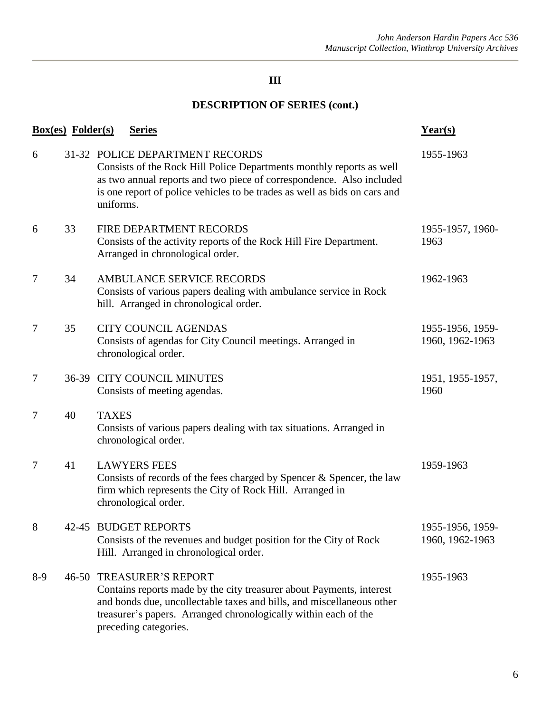# **DESCRIPTION OF SERIES (cont.)**

| <b>Box(es)</b> Folder(s) | Year(s) |                                                                                                                                                                                                                                                                              |                                     |
|--------------------------|---------|------------------------------------------------------------------------------------------------------------------------------------------------------------------------------------------------------------------------------------------------------------------------------|-------------------------------------|
| 6                        |         | 31-32 POLICE DEPARTMENT RECORDS<br>Consists of the Rock Hill Police Departments monthly reports as well<br>as two annual reports and two piece of correspondence. Also included<br>is one report of police vehicles to be trades as well as bids on cars and<br>uniforms.    | 1955-1963                           |
| 6                        | 33      | FIRE DEPARTMENT RECORDS<br>Consists of the activity reports of the Rock Hill Fire Department.<br>Arranged in chronological order.                                                                                                                                            | 1955-1957, 1960-<br>1963            |
| 7                        | 34      | <b>AMBULANCE SERVICE RECORDS</b><br>Consists of various papers dealing with ambulance service in Rock<br>hill. Arranged in chronological order.                                                                                                                              | 1962-1963                           |
| 7                        | 35      | <b>CITY COUNCIL AGENDAS</b><br>Consists of agendas for City Council meetings. Arranged in<br>chronological order.                                                                                                                                                            | 1955-1956, 1959-<br>1960, 1962-1963 |
| 7                        | $36-39$ | <b>CITY COUNCIL MINUTES</b><br>Consists of meeting agendas.                                                                                                                                                                                                                  | 1951, 1955-1957,<br>1960            |
| 7                        | 40      | <b>TAXES</b><br>Consists of various papers dealing with tax situations. Arranged in<br>chronological order.                                                                                                                                                                  |                                     |
| 7                        | 41      | <b>LAWYERS FEES</b><br>Consists of records of the fees charged by Spencer & Spencer, the law<br>firm which represents the City of Rock Hill. Arranged in<br>chronological order.                                                                                             | 1959-1963                           |
| 8                        |         | 42-45 BUDGET REPORTS<br>Consists of the revenues and budget position for the City of Rock<br>Hill. Arranged in chronological order.                                                                                                                                          | 1955-1956, 1959-<br>1960, 1962-1963 |
| $8-9$                    |         | <b>46-50 TREASURER'S REPORT</b><br>Contains reports made by the city treasurer about Payments, interest<br>and bonds due, uncollectable taxes and bills, and miscellaneous other<br>treasurer's papers. Arranged chronologically within each of the<br>preceding categories. | 1955-1963                           |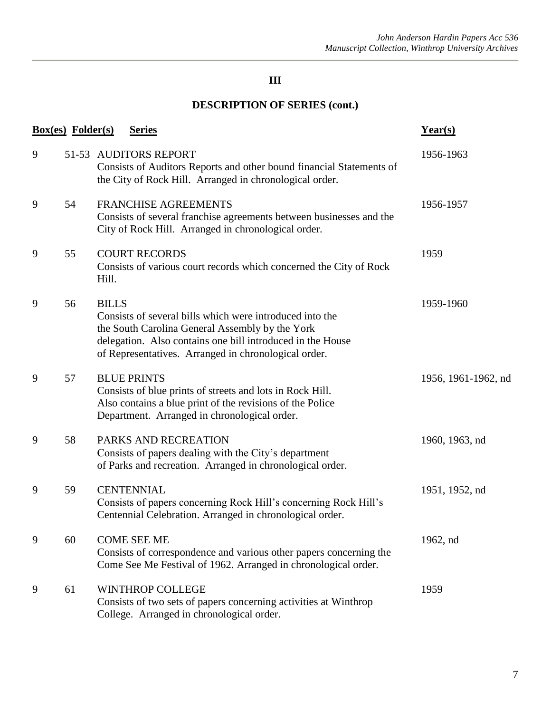# **DESCRIPTION OF SERIES (cont.)**

|   | <b>Box(es)</b> Folder(s) |              | <b>Series</b>                                                                                                                                                                                                                     | Year(s)             |
|---|--------------------------|--------------|-----------------------------------------------------------------------------------------------------------------------------------------------------------------------------------------------------------------------------------|---------------------|
| 9 |                          |              | 51-53 AUDITORS REPORT<br>Consists of Auditors Reports and other bound financial Statements of<br>the City of Rock Hill. Arranged in chronological order.                                                                          | 1956-1963           |
| 9 | 54                       |              | <b>FRANCHISE AGREEMENTS</b><br>Consists of several franchise agreements between businesses and the<br>City of Rock Hill. Arranged in chronological order.                                                                         | 1956-1957           |
| 9 | 55                       | Hill.        | <b>COURT RECORDS</b><br>Consists of various court records which concerned the City of Rock                                                                                                                                        | 1959                |
| 9 | 56                       | <b>BILLS</b> | Consists of several bills which were introduced into the<br>the South Carolina General Assembly by the York<br>delegation. Also contains one bill introduced in the House<br>of Representatives. Arranged in chronological order. | 1959-1960           |
| 9 | 57                       |              | <b>BLUE PRINTS</b><br>Consists of blue prints of streets and lots in Rock Hill.<br>Also contains a blue print of the revisions of the Police<br>Department. Arranged in chronological order.                                      | 1956, 1961-1962, nd |
| 9 | 58                       |              | PARKS AND RECREATION<br>Consists of papers dealing with the City's department<br>of Parks and recreation. Arranged in chronological order.                                                                                        | 1960, 1963, nd      |
| 9 | 59                       |              | <b>CENTENNIAL</b><br>Consists of papers concerning Rock Hill's concerning Rock Hill's<br>Centennial Celebration. Arranged in chronological order.                                                                                 | 1951, 1952, nd      |
| 9 | 60                       |              | <b>COME SEE ME</b><br>Consists of correspondence and various other papers concerning the<br>Come See Me Festival of 1962. Arranged in chronological order.                                                                        | 1962, nd            |
| 9 | 61                       |              | <b>WINTHROP COLLEGE</b><br>Consists of two sets of papers concerning activities at Winthrop<br>College. Arranged in chronological order.                                                                                          | 1959                |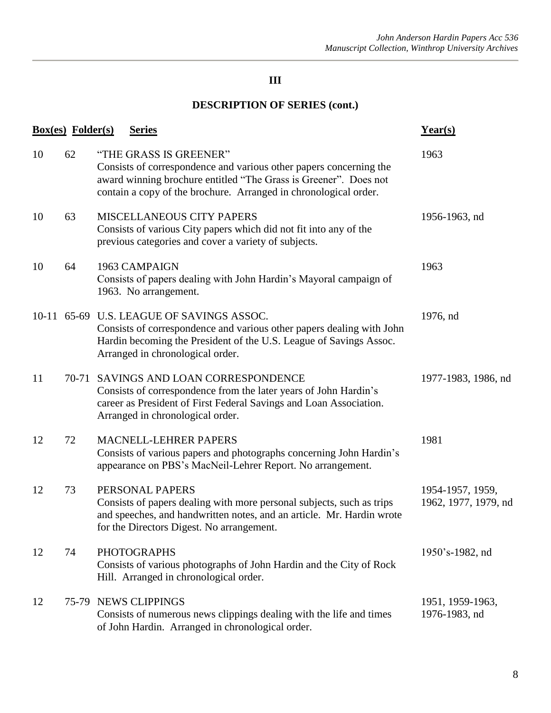# **DESCRIPTION OF SERIES (cont.)**

|    | <b>Box(es)</b> Folder(s) | <b>Series</b>                                                                                                                                                                                                                        | Year(s)                                  |
|----|--------------------------|--------------------------------------------------------------------------------------------------------------------------------------------------------------------------------------------------------------------------------------|------------------------------------------|
| 10 | 62                       | "THE GRASS IS GREENER"<br>Consists of correspondence and various other papers concerning the<br>award winning brochure entitled "The Grass is Greener". Does not<br>contain a copy of the brochure. Arranged in chronological order. | 1963                                     |
| 10 | 63                       | MISCELLANEOUS CITY PAPERS<br>Consists of various City papers which did not fit into any of the<br>previous categories and cover a variety of subjects.                                                                               | 1956-1963, nd                            |
| 10 | 64                       | 1963 CAMPAIGN<br>Consists of papers dealing with John Hardin's Mayoral campaign of<br>1963. No arrangement.                                                                                                                          | 1963                                     |
|    |                          | 10-11 65-69 U.S. LEAGUE OF SAVINGS ASSOC.<br>Consists of correspondence and various other papers dealing with John<br>Hardin becoming the President of the U.S. League of Savings Assoc.<br>Arranged in chronological order.         | 1976, nd                                 |
| 11 |                          | 70-71 SAVINGS AND LOAN CORRESPONDENCE<br>Consists of correspondence from the later years of John Hardin's<br>career as President of First Federal Savings and Loan Association.<br>Arranged in chronological order.                  | 1977-1983, 1986, nd                      |
| 12 | 72                       | MACNELL-LEHRER PAPERS<br>Consists of various papers and photographs concerning John Hardin's<br>appearance on PBS's MacNeil-Lehrer Report. No arrangement.                                                                           | 1981                                     |
| 12 | 73                       | PERSONAL PAPERS<br>Consists of papers dealing with more personal subjects, such as trips<br>and speeches, and handwritten notes, and an article. Mr. Hardin wrote<br>for the Directors Digest. No arrangement.                       | 1954-1957, 1959,<br>1962, 1977, 1979, nd |
| 12 | 74                       | <b>PHOTOGRAPHS</b><br>Consists of various photographs of John Hardin and the City of Rock<br>Hill. Arranged in chronological order.                                                                                                  | 1950's-1982, nd                          |
| 12 |                          | 75-79 NEWS CLIPPINGS<br>Consists of numerous news clippings dealing with the life and times<br>of John Hardin. Arranged in chronological order.                                                                                      | 1951, 1959-1963,<br>1976-1983, nd        |